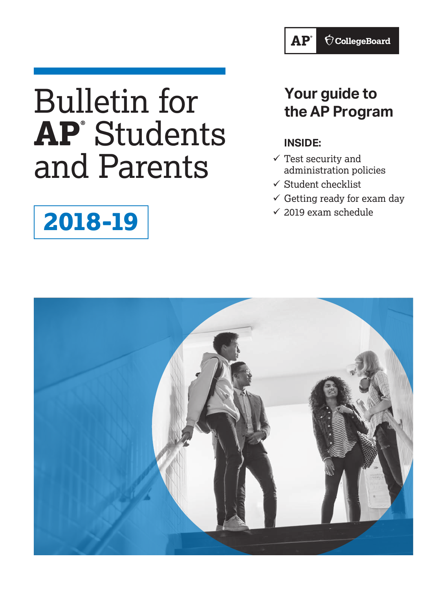# Bulletin for **AP®** Students and Parents

# **2018-19**

## **Your guide to the AP Program**

### **INSIDE:**

- $\checkmark$  Test security and administration policies
- $\checkmark$  Student checklist
- $\checkmark$  Getting ready for exam day
- $\checkmark$  2019 exam schedule

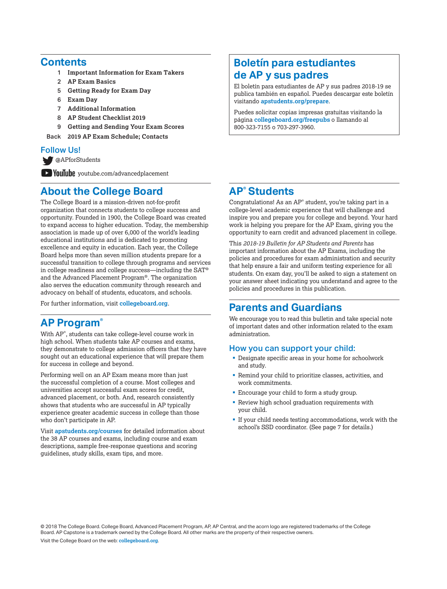#### **Contents**

- 1 **Important Information for Exam Takers**
- 2 **AP Exam Basics**
- 5 **Getting Ready for Exam Day**
- 6 **Exam Day**
- 7 **Additional Information**
- 8 **AP Student Checklist 2019**
- 9 **Getting and Sending Your Exam Scores**
- Back **2019 AP Exam Schedule; Contacts**

#### Follow Us!

[@APforStudents](https://twitter.com/APforStudents)

**YouTube** [youtube.com/advancedplacement](http://youtube.com/advancedplacement)

### **About the College Board**

The College Board is a mission-driven not-for-profit organization that connects students to college success and opportunity. Founded in 1900, the College Board was created to expand access to higher education. Today, the membership association is made up of over 6,000 of the world's leading educational institutions and is dedicated to promoting excellence and equity in education. Each year, the College Board helps more than seven million students prepare for a successful transition to college through programs and services in college readiness and college success—including the SAT® and the Advanced Placement Program®. The organization also serves the education community through research and advocacy on behalf of students, educators, and schools.

For further information, visit **[collegeboard.org](http://www.collegeboard.org)**.

### **AP Program®**

With AP® , students can take college-level course work in high school. When students take AP courses and exams, they demonstrate to college admission officers that they have sought out an educational experience that will prepare them for success in college and beyond.

Performing well on an AP Exam means more than just the successful completion of a course. Most colleges and universities accept successful exam scores for credit, advanced placement, or both. And, research consistently shows that students who are successful in AP typically experience greater academic success in college than those who don't participate in AP.

Visit **[apstudents.org/courses](http://apstudents.org/courses)** for detailed information about the 38 AP courses and exams, including course and exam descriptions, sample free-response questions and scoring guidelines, study skills, exam tips, and more.

### **Boletín para estudiantes de AP y sus padres**

El boletín para estudiantes de AP y sus padres 2018-19 se publica también en español. Puedes descargar este boletín visitando **[apstudents.org/prepare](http://apstudents.org/prepare)**.

Puedes solicitar copias impresas gratuitas visitando la página **[collegeboard.org/freepubs](http://www.collegeboard.org/freepubs)** o llamando al 800-323-7155 o 703-297-3960.

### **AP® Students**

Congratulations! As an AP® student, you're taking part in a college-level academic experience that will challenge and inspire you and prepare you for college and beyond. Your hard work is helping you prepare for the AP Exam, giving you the opportunity to earn credit and advanced placement in college.

This *2018-19 Bulletin for AP Students and Parents* has important information about the AP Exams, including the policies and procedures for exam administration and security that help ensure a fair and uniform testing experience for all students. On exam day, you'll be asked to sign a statement on your answer sheet indicating you understand and agree to the policies and procedures in this publication.

### **Parents and Guardians**

We encourage you to read this bulletin and take special note of important dates and other information related to the exam administration.

#### How you can support your child:

- § Designate specific areas in your home for schoolwork and study.
- § Remind your child to prioritize classes, activities, and work commitments.
- Encourage your child to form a study group.
- Review high school graduation requirements with your child.
- § If your child needs testing accommodations, work with the school's SSD coordinator. (See page 7 for details.)

© 2018 The College Board. College Board, Advanced Placement Program, AP, AP Central, and the acorn logo are registered trademarks of the College Board. AP Capstone is a trademark owned by the College Board. All other marks are the property of their respective owners.

Visit the College Board on the web: **[collegeboard.org](http://www.collegeboard.org)**.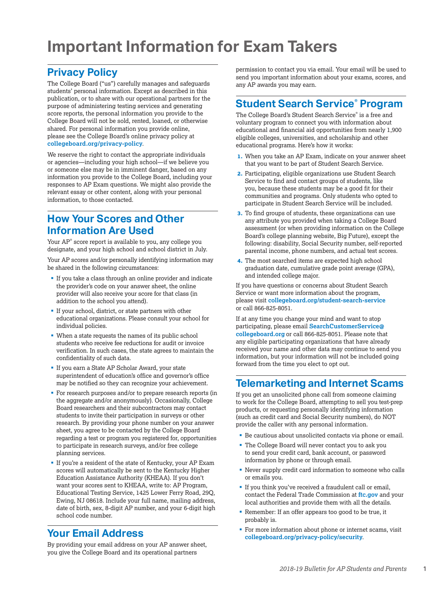## **Important Information for Exam Takers**

### **Privacy Policy**

The College Board ("us") carefully manages and safeguards students' personal information. Except as described in this publication, or to share with our operational partners for the purpose of administering testing services and generating score reports, the personal information you provide to the College Board will not be sold, rented, loaned, or otherwise shared. For personal information you provide online, please see the College Board's online privacy policy at **[collegeboard.org/privacy-policy](http://www.collegeboard.org/privacy-policy)**.

We reserve the right to contact the appropriate individuals or agencies—including your high school—if we believe you or someone else may be in imminent danger, based on any information you provide to the College Board, including your responses to AP Exam questions. We might also provide the relevant essay or other content, along with your personal information, to those contacted.

### **How Your Scores and Other Information Are Used**

Your AP® score report is available to you, any college you designate, and your high school and school district in July.

Your AP scores and/or personally identifying information may be shared in the following circumstances:

- If you take a class through an online provider and indicate the provider's code on your answer sheet, the online provider will also receive your score for that class (in addition to the school you attend).
- If your school, district, or state partners with other educational organizations. Please consult your school for individual policies.
- When a state requests the names of its public school students who receive fee reductions for audit or invoice verification. In such cases, the state agrees to maintain the confidentiality of such data.
- If you earn a State AP Scholar Award, your state superintendent of education's office and governor's office may be notified so they can recognize your achievement.
- For research purposes and/or to prepare research reports (in the aggregate and/or anonymously). Occasionally, College Board researchers and their subcontractors may contact students to invite their participation in surveys or other research. By providing your phone number on your answer sheet, you agree to be contacted by the College Board regarding a test or program you registered for, opportunities to participate in research surveys, and/or free college planning services.
- If you're a resident of the state of Kentucky, your AP Exam scores will automatically be sent to the Kentucky Higher Education Assistance Authority (KHEAA). If you don't want your scores sent to KHEAA, write to: AP Program, Educational Testing Service, 1425 Lower Ferry Road, 29Q, Ewing, NJ 08618. Include your full name, mailing address, date of birth, sex, 8-digit AP number, and your 6-digit high school code number.

### **Your Email Address**

By providing your email address on your AP answer sheet, you give the College Board and its operational partners

permission to contact you via email. Your email will be used to send you important information about your exams, scores, and any AP awards you may earn.

### **Student Search Service® Program**

The College Board's Student Search Service® is a free and voluntary program to connect you with information about educational and financial aid opportunities from nearly 1,900 eligible colleges, universities, and scholarship and other educational programs. Here's how it works:

- **1.** When you take an AP Exam, indicate on your answer sheet that you want to be part of Student Search Service.
- **2.** Participating, eligible organizations use Student Search Service to find and contact groups of students, like you, because these students may be a good fit for their communities and programs. Only students who opted to participate in Student Search Service will be included.
- **3.** To find groups of students, these organizations can use any attribute you provided when taking a College Board assessment (or when providing information on the College Board's college planning website, Big Future), except the following: disability, Social Security number, self-reported parental income, phone numbers, and actual test scores.
- **4.** The most searched items are expected high school graduation date, cumulative grade point average (GPA), and intended college major.

If you have questions or concerns about Student Search Service or want more information about the program, please visit **[collegeboard.org/student-search-service](http://www.collegeboard.org/student-search-service)** or call 866-825-8051.

If at any time you change your mind and want to stop participating, please email **[SearchCustomerService@](mailto:SearchCustomerService%40collegeboard.org?subject=) [collegeboard.org](mailto:SearchCustomerService%40collegeboard.org?subject=)** or call 866-825-8051. Please note that any eligible participating organizations that have already received your name and other data may continue to send you information, but your information will not be included going forward from the time you elect to opt out.

### **Telemarketing and Internet Scams**

If you get an unsolicited phone call from someone claiming to work for the College Board, attempting to sell you test-prep products, or requesting personally identifying information (such as credit card and Social Security numbers), do NOT provide the caller with any personal information.

- Be cautious about unsolicited contacts via phone or email.
- § The College Board will never contact you to ask you to send your credit card, bank account, or password information by phone or through email.
- § Never supply credit card information to someone who calls or emails you.
- § If you think you've received a fraudulent call or email, contact the Federal Trade Commission at **[ftc.gov](http://ftc.gov)** and your local authorities and provide them with all the details.
- Remember: If an offer appears too good to be true, it probably is.
- For more information about phone or internet scams, visit **[collegeboard.org/privacy-policy/security](http://www.collegeboard.org/privacy-policy/security)**.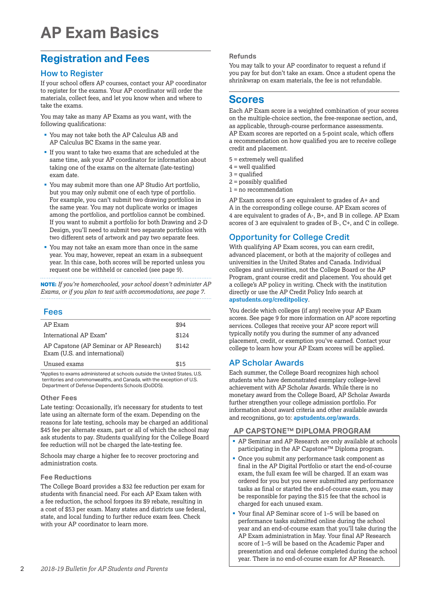### **Registration and Fees**

#### How to Register

If your school offers AP courses, contact your AP coordinator to register for the exams. Your AP coordinator will order the materials, collect fees, and let you know when and where to take the exams.

You may take as many AP Exams as you want, with the following qualifications:

- § You may not take both the AP Calculus AB and AP Calculus BC Exams in the same year.
- § If you want to take two exams that are scheduled at the same time, ask your AP coordinator for information about taking one of the exams on the alternate (late-testing) exam date.
- § You may submit more than one AP Studio Art portfolio, but you may only submit one of each type of portfolio. For example, you can't submit two drawing portfolios in the same year. You may not duplicate works or images among the portfolios, and portfolios cannot be combined. If you want to submit a portfolio for both Drawing and 2-D Design, you'll need to submit two separate portfolios with two different sets of artwork and pay two separate fees.
- § You may not take an exam more than once in the same year. You may, however, repeat an exam in a subsequent year. In this case, both scores will be reported unless you request one be withheld or canceled (see page 9).

**NOTE:** *If you're homeschooled, your school doesn't administer AP Exams, or if you plan to test with accommodations, see page 7.*

#### Fees

| AP Exam                                                                  | \$94  |
|--------------------------------------------------------------------------|-------|
| International AP Exam <sup>*</sup>                                       | \$124 |
| AP Capstone (AP Seminar or AP Research)<br>Exam (U.S. and international) | \$142 |
| Unused exams                                                             | \$15  |
|                                                                          |       |

\*Applies to exams administered at schools outside the United States, U.S. territories and commonwealths, and Canada, with the exception of U.S. Department of Defense Dependents Schools (DoDDS).

#### **Other Fees**

Late testing: Occasionally, it's necessary for students to test late using an alternate form of the exam. Depending on the reasons for late testing, schools may be charged an additional \$45 fee per alternate exam, part or all of which the school may ask students to pay. Students qualifying for the College Board fee reduction will not be charged the late-testing fee.

Schools may charge a higher fee to recover proctoring and administration costs.

#### **Fee Reductions**

The College Board provides a \$32 fee reduction per exam for students with financial need. For each AP Exam taken with a fee reduction, the school forgoes its \$9 rebate, resulting in a cost of \$53 per exam. Many states and districts use federal, state, and local funding to further reduce exam fees. Check with your AP coordinator to learn more.

#### **Refunds**

You may talk to your AP coordinator to request a refund if you pay for but don't take an exam. Once a student opens the shrinkwrap on exam materials, the fee is not refundable.

### **Scores**

Each AP Exam score is a weighted combination of your scores on the multiple-choice section, the free-response section, and, as applicable, through-course performance assessments. AP Exam scores are reported on a 5-point scale, which offers a recommendation on how qualified you are to receive college credit and placement.

- 5 = extremely well qualified
- $4$  = well qualified
- $3 =$  qualified
- 2 = possibly qualified
- 1 = no recommendation

AP Exam scores of 5 are equivalent to grades of A+ and A in the corresponding college course. AP Exam scores of 4 are equivalent to grades of A-, B+, and B in college. AP Exam scores of 3 are equivalent to grades of B-, C+, and C in college.

### Opportunity for College Credit

With qualifying AP Exam scores, you can earn credit, advanced placement, or both at the majority of colleges and universities in the United States and Canada. Individual colleges and universities, not the College Board or the AP Program, grant course credit and placement. You should get a college's AP policy in writing. Check with the institution directly or use the AP Credit Policy Info search at **[apstudents.org/creditpolicy](http://apstudents.org/creditpolicy)**.

You decide which colleges (if any) receive your AP Exam scores. See page 9 for more information on AP score reporting services. Colleges that receive your AP score report will typically notify you during the summer of any advanced placement, credit, or exemption you've earned. Contact your college to learn how your AP Exam scores will be applied.

#### AP Scholar Awards

Each summer, the College Board recognizes high school students who have demonstrated exemplary college-level achievement with AP Scholar Awards. While there is no monetary award from the College Board, AP Scholar Awards further strengthen your college admission portfolio. For information about award criteria and other available awards and recognitions, go to: **[apstudents.org/awards](http://apstudents.org/awards)**.

#### **AP CAPSTONE™ DIPLOMA PROGRAM**

- § AP Seminar and AP Research are only available at schools participating in the AP Capstone™ Diploma program.
- § Once you submit any performance task component as final in the AP Digital Portfolio or start the end-of-course exam, the full exam fee will be charged. If an exam was ordered for you but you never submitted any performance tasks as final or started the end-of-course exam, you may be responsible for paying the \$15 fee that the school is charged for each unused exam.
- § Your final AP Seminar score of 1–5 will be based on performance tasks submitted online during the school year and an end-of-course exam that you'll take during the AP Exam administration in May. Your final AP Research score of 1–5 will be based on the Academic Paper and presentation and oral defense completed during the school year. There is no end-of-course exam for AP Research.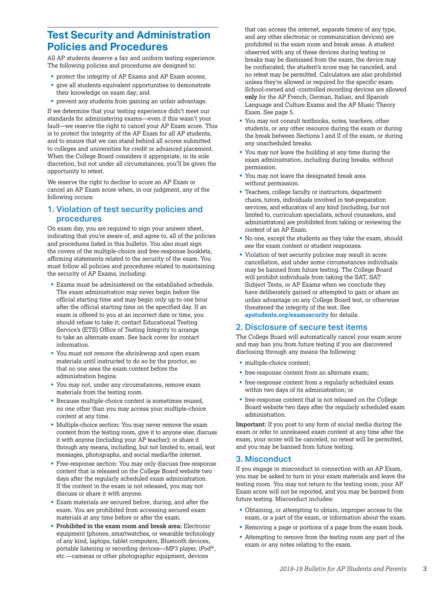### **Test Security and Administration Policies and Procedures**

All AP students deserve a fair and uniform testing experience. The following policies and procedures are designed to:

- protect the integrity of AP Exams and AP Exam scores;
- § give all students equivalent opportunities to demonstrate their knowledge on exam day; and
- § prevent any students from gaining an unfair advantage.

If we determine that your testing experience didn't meet our standards for administering exams—even if this wasn't your fault—we reserve the right to cancel your AP Exam score. This is to protect the integrity of the AP Exam for all AP students, and to ensure that we can stand behind all scores submitted to colleges and universities for credit or advanced placement. When the College Board considers it appropriate, in its sole discretion, but not under all circumstances, you'll be given the opportunity to retest.

We reserve the right to decline to score an AP Exam or cancel an AP Exam score when, in our judgment, any of the following occurs:

#### 1. Violation of test security policies and procedures

On exam day, you are required to sign your answer sheet, indicating that you're aware of, and agree to, all of the policies and procedures listed in this bulletin. You also must sign the covers of the multiple-choice and free-response booklets, affirming statements related to the security of the exam. You must follow all policies and procedures related to maintaining the security of AP Exams, including:

- Exams must be administered on the established schedule. The exam administration may never begin before the official starting time and may begin only up to one hour after the official starting time on the specified day. If an exam is offered to you at an incorrect date or time, you should refuse to take it; contact Educational Testing Service's (ETS) Office of Testing Integrity to arrange to take an alternate exam. See back cover for contact information.
- § You must not remove the shrinkwrap and open exam materials until instructed to do so by the proctor, so that no one sees the exam content before the administration begins.
- You may not, under any circumstances, remove exam materials from the testing room.
- § Because multiple-choice content is sometimes reused, no one other than you may access your multiple-choice content at any time.
- § Multiple-choice section: You may never remove the exam content from the testing room, give it to anyone else; discuss it with anyone (including your AP teacher); or share it through any means, including, but not limited to, email, text messages, photographs, and social media/the internet.
- § Free-response section: You may only discuss free-response content that is released on the College Board website two days after the regularly scheduled exam administration. If the content in the exam is not released, you may not discuss or share it with anyone.
- Exam materials are secured before, during, and after the exam. You are prohibited from accessing secured exam materials at any time before or after the exam.
- § **Prohibited in the exam room and break area:** Electronic equipment (phones, smartwatches, or wearable technology of any kind, laptops, tablet computers, Bluetooth devices, portable listening or recording devices—MP3 player, iPod®, etc.—cameras or other photographic equipment, devices

that can access the internet, separate timers of any type, and any other electronic or communication devices) are prohibited in the exam room and break areas. A student observed with any of these devices during testing or breaks may be dismissed from the exam, the device may be confiscated, the student's score may be canceled, and no retest may be permitted. Calculators are also prohibited unless they're allowed or required for the specific exam. School-owned and -controlled recording devices are allowed **only** for the AP French, German, Italian, and Spanish Language and Culture Exams and the AP Music Theory Exam. See page 5.

- § You may not consult textbooks, notes, teachers, other students, or any other resource during the exam or during the break between Sections I and II of the exam, or during any unscheduled breaks.
- § You may not leave the building at any time during the exam administration, including during breaks, without permission.
- § You may not leave the designated break area without permission.
- § Teachers, college faculty or instructors, department chairs, tutors, individuals involved in test-preparation services, and educators of any kind (including, but not limited to, curriculum specialists, school counselors, and administrators) are prohibited from taking or reviewing the content of an AP Exam.
- § No one, except the students as they take the exam, should see the exam content or student responses.
- § Violation of test security policies may result in score cancellation, and under some circumstances individuals may be banned from future testing. The College Board will prohibit individuals from taking the SAT, SAT Subject Tests, or AP Exams when we conclude they have deliberately gained or attempted to gain or share an unfair advantage on any College Board test, or otherwise threatened the integrity of the test. See **[apstudents.org/examsecurity](http://apstudents.org/examsecurity)** for details.

#### 2. Disclosure of secure test items

The College Board will automatically cancel your exam score and may ban you from future testing if you are discovered disclosing through any means the following:

- multiple-choice content;
- **•** free-response content from an alternate exam;
- free-response content from a regularly scheduled exam within two days of its administration; or
- § free-response content that is not released on the College Board website two days after the regularly scheduled exam administration.

**Important:** If you post to any form of social media during the exam or refer to unreleased exam content at any time after the exam, your score will be canceled, no retest will be permitted, and you may be banned from future testing.

#### 3. Misconduct

If you engage in misconduct in connection with an AP Exam, you may be asked to turn in your exam materials and leave the testing room. You may not return to the testing room, your AP Exam score will not be reported, and you may be banned from future testing. Misconduct includes:

- § Obtaining, or attempting to obtain, improper access to the exam, or a part of the exam, or information about the exam.
- Removing a page or portions of a page from the exam book.
- Attempting to remove from the testing room any part of the exam or any notes relating to the exam.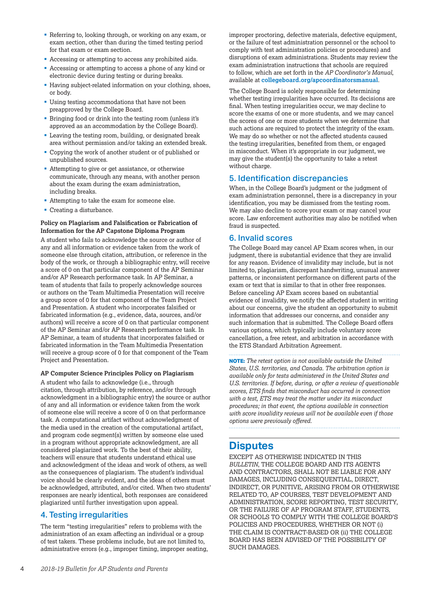- Referring to, looking through, or working on any exam, or exam section, other than during the timed testing period for that exam or exam section.
- § Accessing or attempting to access any prohibited aids.
- § Accessing or attempting to access a phone of any kind or electronic device during testing or during breaks.
- Having subject-related information on your clothing, shoes, or body.
- Using testing accommodations that have not been preapproved by the College Board.
- Bringing food or drink into the testing room (unless it's approved as an accommodation by the College Board).
- Leaving the testing room, building, or designated break area without permission and/or taking an extended break.
- § Copying the work of another student or of published or unpublished sources.
- Attempting to give or get assistance, or otherwise communicate, through any means, with another person about the exam during the exam administration, including breaks.
- Attempting to take the exam for someone else.
- Creating a disturbance.

#### **Policy on Plagiarism and Falsification or Fabrication of Information for the AP Capstone Diploma Program**

A student who fails to acknowledge the source or author of any and all information or evidence taken from the work of someone else through citation, attribution, or reference in the body of the work, or through a bibliographic entry, will receive a score of 0 on that particular component of the AP Seminar and/or AP Research performance task. In AP Seminar, a team of students that fails to properly acknowledge sources or authors on the Team Multimedia Presentation will receive a group score of 0 for that component of the Team Project and Presentation. A student who incorporates falsified or fabricated information (e.g., evidence, data, sources, and/or authors) will receive a score of 0 on that particular component of the AP Seminar and/or AP Research performance task. In AP Seminar, a team of students that incorporates falsified or fabricated information in the Team Multimedia Presentation will receive a group score of 0 for that component of the Team Project and Presentation.

#### **AP Computer Science Principles Policy on Plagiarism**

A student who fails to acknowledge (i.e., through citation, through attribution, by reference, and/or through acknowledgment in a bibliographic entry) the source or author of any and all information or evidence taken from the work of someone else will receive a score of 0 on that performance task. A computational artifact without acknowledgment of the media used in the creation of the computational artifact, and program code segment(s) written by someone else used in a program without appropriate acknowledgment, are all considered plagiarized work. To the best of their ability, teachers will ensure that students understand ethical use and acknowledgment of the ideas and work of others, as well as the consequences of plagiarism. The student's individual voice should be clearly evident, and the ideas of others must be acknowledged, attributed, and/or cited. When two students' responses are nearly identical, both responses are considered plagiarized until further investigation upon appeal.

#### 4. Testing irregularities

The term "testing irregularities" refers to problems with the administration of an exam affecting an individual or a group of test takers. These problems include, but are not limited to, administrative errors (e.g., improper timing, improper seating, improper proctoring, defective materials, defective equipment, or the failure of test administration personnel or the school to comply with test administration policies or procedures) and disruptions of exam administrations. Students may review the exam administration instructions that schools are required to follow, which are set forth in the *AP Coordinator's Manual*, available at **[collegeboard.org/apcoordinatorsmanual](http://www.collegeboard.org/apcoordinatorsmanual)**.

The College Board is solely responsible for determining whether testing irregularities have occurred. Its decisions are final. When testing irregularities occur, we may decline to score the exams of one or more students, and we may cancel the scores of one or more students when we determine that such actions are required to protect the integrity of the exam. We may do so whether or not the affected students caused the testing irregularities, benefited from them, or engaged in misconduct. When it's appropriate in our judgment, we may give the student(s) the opportunity to take a retest without charge.

#### 5. Identification discrepancies

When, in the College Board's judgment or the judgment of exam administration personnel, there is a discrepancy in your identification, you may be dismissed from the testing room. We may also decline to score your exam or may cancel your score. Law enforcement authorities may also be notified when fraud is suspected.

#### 6. Invalid scores

The College Board may cancel AP Exam scores when, in our judgment, there is substantial evidence that they are invalid for any reason. Evidence of invalidity may include, but is not limited to, plagiarism, discrepant handwriting, unusual answer patterns, or inconsistent performance on different parts of the exam or text that is similar to that in other free responses. Before canceling AP Exam scores based on substantial evidence of invalidity, we notify the affected student in writing about our concerns, give the student an opportunity to submit information that addresses our concerns, and consider any such information that is submitted. The College Board offers various options, which typically include voluntary score cancellation, a free retest, and arbitration in accordance with the ETS Standard Arbitration Agreement.

**NOTE:** *The retest option is not available outside the United States, U.S. territories, and Canada. The arbitration option is available only for tests administered in the United States and U.S. territories. If before, during, or after a review of questionable scores, ETS finds that misconduct has occurred in connection with a test, ETS may treat the matter under its misconduct procedures; in that event, the options available in connection with score invalidity reviews will not be available even if those options were previously offered.* 

### **Disputes**

EXCEPT AS OTHERWISE INDICATED IN THIS *BULLETIN*, THE COLLEGE BOARD AND ITS AGENTS AND CONTRACTORS, SHALL NOT BE LIABLE FOR ANY DAMAGES, INCLUDING CONSEQUENTIAL, DIRECT, INDIRECT, OR PUNITIVE, ARISING FROM OR OTHERWISE RELATED TO, AP COURSES, TEST DEVELOPMENT AND ADMINISTRATION, SCORE REPORTING, TEST SECURITY, OR THE FAILURE OF AP PROGRAM STAFF, STUDENTS, OR SCHOOLS TO COMPLY WITH THE COLLEGE BOARD'S POLICIES AND PROCEDURES, WHETHER OR NOT (i) THE CLAIM IS CONTRACT-BASED OR (ii) THE COLLEGE BOARD HAS BEEN ADVISED OF THE POSSIBILITY OF SUCH DAMAGES.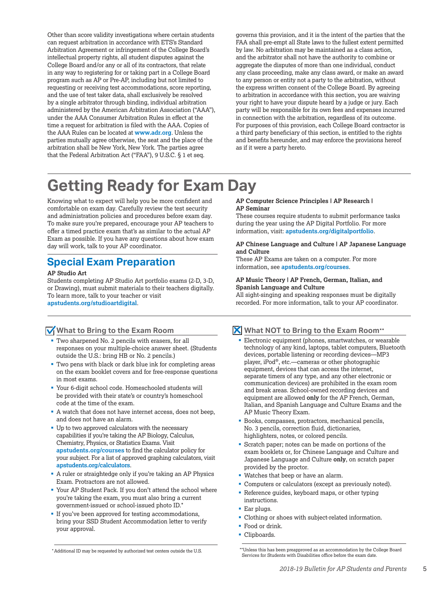Other than score validity investigations where certain students can request arbitration in accordance with ETS's Standard Arbitration Agreement or infringement of the College Board's intellectual property rights, all student disputes against the College Board and/or any or all of its contractors, that relate in any way to registering for or taking part in a College Board program such as AP or Pre-AP, including but not limited to requesting or receiving test accommodations, score reporting, and the use of test taker data, shall exclusively be resolved by a single arbitrator through binding, individual arbitration administered by the American Arbitration Association ("AAA"), under the AAA Consumer Arbitration Rules in effect at the time a request for arbitration is filed with the AAA. Copies of the AAA Rules can be located at **[www.adr.org](http://www.adr.org)**. Unless the parties mutually agree otherwise, the seat and the place of the arbitration shall be New York, New York. The parties agree that the Federal Arbitration Act ("FAA"), 9 U.S.C. § 1 et seq.

governs this provision, and it is the intent of the parties that the FAA shall pre-empt all State laws to the fullest extent permitted by law. No arbitration may be maintained as a class action, and the arbitrator shall not have the authority to combine or aggregate the disputes of more than one individual, conduct any class proceeding, make any class award, or make an award to any person or entity not a party to the arbitration, without the express written consent of the College Board. By agreeing to arbitration in accordance with this section, you are waiving your right to have your dispute heard by a judge or jury. Each party will be responsible for its own fees and expenses incurred in connection with the arbitration, regardless of its outcome. For purposes of this provision, each College Board contractor is a third party beneficiary of this section, is entitled to the rights and benefits hereunder, and may enforce the provisions hereof as if it were a party hereto.

# **Getting Ready for Exam Day**

Knowing what to expect will help you be more confident and comfortable on exam day. Carefully review the test security and administration policies and procedures before exam day. To make sure you're prepared, encourage your AP teachers to offer a timed practice exam that's as similar to the actual AP Exam as possible. If you have any questions about how exam day will work, talk to your AP coordinator.

### **Special Exam Preparation**

#### **AP Studio Art**

Students completing AP Studio Art portfolio exams (2-D, 3-D, or Drawing), must submit materials to their teachers digitally. To learn more, talk to your teacher or visit **[apstudents.org/studioartdigital](http://apstudents.org/studioartdigital)**.

#### **What to Bring to the Exam Room**

- § Two sharpened No. 2 pencils with erasers, for all responses on your multiple-choice answer sheet. (Students outside the U.S.: bring HB or No. 2 pencils.)
- § Two pens with black or dark blue ink for completing areas on the exam booklet covers and for free-response questions in most exams.
- § Your 6-digit school code. Homeschooled students will be provided with their state's or country's homeschool code at the time of the exam.
- § A watch that does not have internet access, does not beep, and does not have an alarm.
- Up to two approved calculators with the necessary capabilities if you're taking the AP Biology, Calculus, Chemistry, Physics, or Statistics Exams. Visit **[apstudents.org/courses](http://apstudents.org/courses)** to find the calculator policy for your subject. For a list of approved graphing calculators, visit **[apstudents.org/calculators](http://apstudents.org/calculators)**.
- § A ruler or straightedge only if you're taking an AP Physics Exam. Protractors are not allowed.
- § Your AP Student Pack. If you don't attend the school where you're taking the exam, you must also bring a current government-issued or school-issued photo ID.\*
- If you've been approved for testing accommodations, bring your SSD Student Accommodation letter to verify your approval.

#### **AP Computer Science Principles | AP Research | AP Seminar**

These courses require students to submit performance tasks during the year using the AP Digital Portfolio. For more information, visit: **[apstudents.org/digitalportfolio](http://apstudents.org/digitalportfolio)**.

#### **AP Chinese Language and Culture | AP Japanese Language and Culture**

These AP Exams are taken on a computer. For more information, see **[apstudents.org/courses](http://apstudents.org/courses)**.

#### **AP Music Theory | AP French, German, Italian, and Spanish Language and Culture**

All sight-singing and speaking responses must be digitally recorded. For more information, talk to your AP coordinator.

#### **What NOT to Bring to the Exam Room**\*\*

- Electronic equipment (phones, smartwatches, or wearable technology of any kind, laptops, tablet computers, Bluetooth devices, portable listening or recording devices—MP3 player, iPod®, etc.—cameras or other photographic equipment, devices that can access the internet, separate timers of any type, and any other electronic or communication devices) are prohibited in the exam room and break areas. School-owned recording devices and equipment are allowed **only** for the AP French, German, Italian, and Spanish Language and Culture Exams and the AP Music Theory Exam.
- § Books, compasses, protractors, mechanical pencils, No. 3 pencils, correction fluid, dictionaries, highlighters, notes, or colored pencils.
- § Scratch paper; notes can be made on portions of the exam booklets or, for Chinese Language and Culture and Japanese Language and Culture **only**, on scratch paper provided by the proctor.
- § Watches that beep or have an alarm.
- Computers or calculators (except as previously noted).
- Reference guides, keyboard maps, or other typing instructions.
- Ear plugs.
- § Clothing or shoes with subject-related information.
- Food or drink.
- § Clipboards.

\*Additional ID may be requested by authorized test centers outside the U.S.

<sup>\*\*</sup>Unless this has been preapproved as an accommodation by the College Board Services for Students with Disabilities office before the exam date.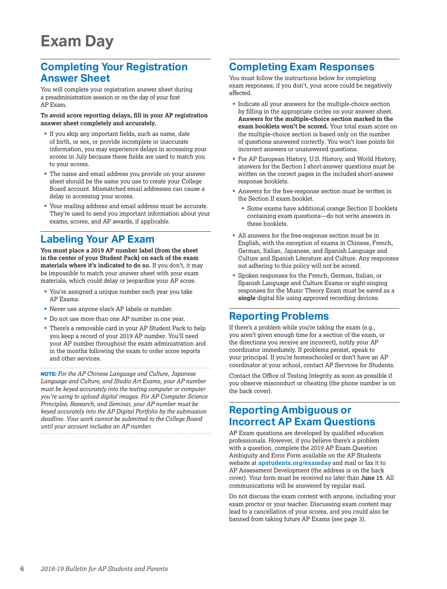### **Completing Your Registration Answer Sheet**

You will complete your registration answer sheet during a preadministration session or on the day of your first AP Exam.

**To avoid score reporting delays, fill in your AP registration answer sheet completely and accurately.**

- If you skip any important fields, such as name, date of birth, or sex, or provide incomplete or inaccurate information, you may experience delays in accessing your scores in July because these fields are used to match you to your scores.
- § The name and email address you provide on your answer sheet should be the same you use to create your College Board account. Mismatched email addresses can cause a delay in accessing your scores.
- § Your mailing address and email address must be accurate. They're used to send you important information about your exams, scores, and AP awards, if applicable.

### **Labeling Your AP Exam**

**You must place a 2019 AP number label (from the sheet in the center of your Student Pack) on each of the exam materials where it's indicated to do so.** If you don't, it may be impossible to match your answer sheet with your exam materials, which could delay or jeopardize your AP score.

- § You're assigned a unique number each year you take AP Exams.
- Never use anyone else's AP labels or number.
- Do not use more than one AP number in one year.
- § There's a removable card in your AP Student Pack to help you keep a record of your 2019 AP number. You'll need your AP number throughout the exam administration and in the months following the exam to order score reports and other services.

**NOTE:** *For the AP Chinese Language and Culture, Japanese Language and Culture, and Studio Art Exams, your AP number must be keyed accurately into the testing computer or computer you're using to upload digital images. For AP Computer Science Principles, Research, and Seminar, your AP number must be keyed accurately into the AP Digital Portfolio by the submission deadline. Your work cannot be submitted to the College Board until your account includes an AP number.*

### **Completing Exam Responses**

You must follow the instructions below for completing exam responses; if you don't, your score could be negatively affected.

- Indicate all your answers for the multiple-choice section by filling in the appropriate circles on your answer sheet. **Answers for the multiple-choice section marked in the exam booklets won't be scored.** Your total exam score on the multiple-choice section is based only on the number of questions answered correctly. You won't lose points for incorrect answers or unanswered questions.
- For AP European History, U.S. History, and World History, answers for the Section I short-answer questions must be written on the correct pages in the included short-answer response booklets.
- § Answers for the free-response section must be written in the Section II exam booklet.
	- Some exams have additional orange Section II booklets containing exam questions—do not write answers in these booklets.
- § All answers for the free-response section must be in English, with the exception of exams in Chinese, French, German, Italian, Japanese, and Spanish Language and Culture and Spanish Literature and Culture. Any responses not adhering to this policy will not be scored.
- § Spoken responses for the French, German, Italian, or Spanish Language and Culture Exams or sight-singing responses for the Music Theory Exam must be saved as a **single** digital file using approved recording devices.

### **Reporting Problems**

If there's a problem while you're taking the exam (e.g., you aren't given enough time for a section of the exam, or the directions you receive are incorrect), notify your AP coordinator immediately. If problems persist, speak to your principal. If you're homeschooled or don't have an AP coordinator at your school, contact AP Services for Students.

Contact the Office of Testing Integrity as soon as possible if you observe misconduct or cheating (the phone number is on the back cover).

### **Reporting Ambiguous or Incorrect AP Exam Questions**

AP Exam questions are developed by qualified education professionals. However, if you believe there's a problem with a question, complete the 2019 AP Exam Question Ambiguity and Error Form available on the AP Students website at **[apstudents.org/examday](http://apstudents.org/examday)** and mail or fax it to AP Assessment Development (the address is on the back cover). Your form must be received no later than **June 15**. All communications will be answered by regular mail.

Do not discuss the exam content with anyone, including your exam proctor or your teacher. Discussing exam content may lead to a cancellation of your scores, and you could also be banned from taking future AP Exams (see page 3).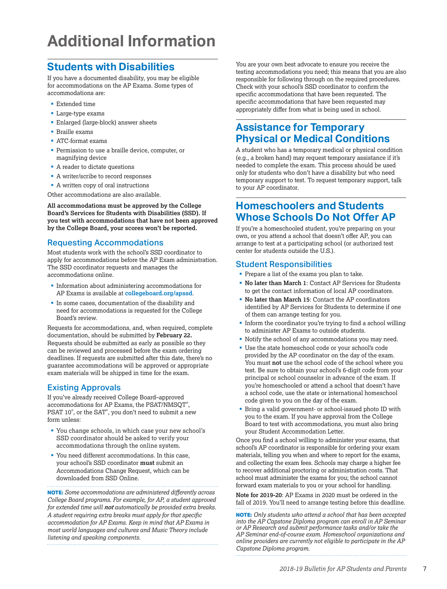# **Additional Information**

### **Students with Disabilities**

If you have a documented disability, you may be eligible for accommodations on the AP Exams. Some types of accommodations are:

- Extended time
- § Large-type exams
- § Enlarged (large-block) answer sheets
- § Braille exams
- § ATC-format exams
- § Permission to use a braille device, computer, or magnifying device
- A reader to dictate questions
- A writer/scribe to record responses
- A written copy of oral instructions

Other accommodations are also available.

**All accommodations must be approved by the College Board's Services for Students with Disabilities (SSD). If you test with accommodations that have not been approved by the College Board, your scores won't be reported.**

#### Requesting Accommodations

Most students work with the school's SSD coordinator to apply for accommodations before the AP Exam administration. The SSD coordinator requests and manages the accommodations online.

- § Information about administering accommodations for AP Exams is available at **[collegeboard.org/apssd](http://www.collegeboard.org/apssd)**.
- § In some cases, documentation of the disability and need for accommodations is requested for the College Board's review.

Requests for accommodations, and, when required, complete documentation, should be submitted by **February 22.** Requests should be submitted as early as possible so they can be reviewed and processed before the exam ordering deadlines. If requests are submitted after this date, there's no guarantee accommodations will be approved or appropriate exam materials will be shipped in time for the exam.

#### Existing Approvals

If you've already received College Board–approved accommodations for AP Exams, the PSAT/NMSQT® , PSAT 10® , or the SAT® , you don't need to submit a new form unless:

- § You change schools, in which case your new school's SSD coordinator should be asked to verify your accommodations through the online system.
- § You need different accommodations. In this case, your school's SSD coordinator **must** submit an Accommodations Change Request, which can be downloaded from SSD Online.

**NOTE:** *Some accommodations are administered differently across College Board programs. For example, for AP, a student approved for extended time will not automatically be provided extra breaks. A student requiring extra breaks must apply for that specific accommodation for AP Exams. Keep in mind that AP Exams in most world languages and cultures and Music Theory include listening and speaking components.*

You are your own best advocate to ensure you receive the testing accommodations you need; this means that you are also responsible for following through on the required procedures. Check with your school's SSD coordinator to confirm the specific accommodations that have been requested. The specific accommodations that have been requested may appropriately differ from what is being used in school.

### **Assistance for Temporary Physical or Medical Conditions**

A student who has a temporary medical or physical condition (e.g., a broken hand) may request temporary assistance if it's needed to complete the exam. This process should be used only for students who don't have a disability but who need temporary support to test. To request temporary support, talk to your AP coordinator.

### **Homeschoolers and Students Whose Schools Do Not Offer AP**

If you're a homeschooled student, you're preparing on your own, or you attend a school that doesn't offer AP, you can arrange to test at a participating school (or authorized test center for students outside the U.S.).

#### Student Responsibilities

- **Prepare a list of the exams you plan to take.**
- § **No later than March 1**: Contact AP Services for Students to get the contact information of local AP coordinators.
- § **No later than March 15**: Contact the AP coordinators identified by AP Services for Students to determine if one of them can arrange testing for you.
- § Inform the coordinator you're trying to find a school willing to administer AP Exams to outside students.
- § Notify the school of any accommodations you may need.
- § Use the state homeschool code or your school's code provided by the AP coordinator on the day of the exam. You must **not** use the school code of the school where you test. Be sure to obtain your school's 6-digit code from your principal or school counselor in advance of the exam. If you're homeschooled or attend a school that doesn't have a school code, use the state or international homeschool code given to you on the day of the exam.
- Bring a valid government- or school-issued photo ID with you to the exam. If you have approval from the College Board to test with accommodations, you must also bring your Student Accommodation Letter.

Once you find a school willing to administer your exams, that school's AP coordinator is responsible for ordering your exam materials, telling you when and where to report for the exams, and collecting the exam fees. Schools may charge a higher fee to recover additional proctoring or administration costs. That school must administer the exams for you; the school cannot forward exam materials to you or your school for handling.

**Note for 2019-20**: AP Exams in 2020 must be ordered in the fall of 2019. You'll need to arrange testing before this deadline.

**NOTE:** *Only students who attend a school that has been accepted into the AP Capstone Diploma program can enroll in AP Seminar or AP Research and submit performance tasks and/or take the AP Seminar end-of-course exam. Homeschool organizations and online providers are currently not eligible to participate in the AP Capstone Diploma program.*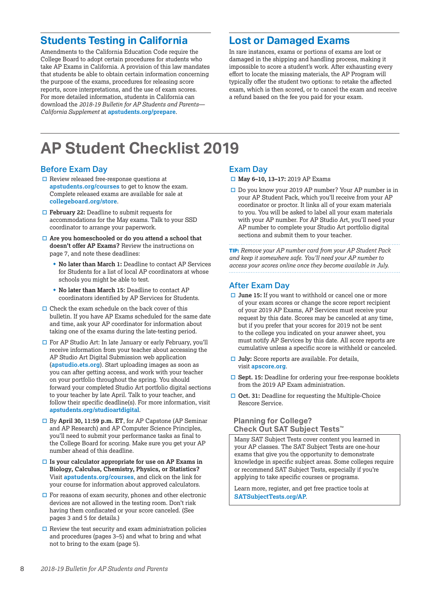### **Students Testing in California**

Amendments to the California Education Code require the College Board to adopt certain procedures for students who take AP Exams in California. A provision of this law mandates that students be able to obtain certain information concerning the purpose of the exams, procedures for releasing score reports, score interpretations, and the use of exam scores. For more detailed information, students in California can download the *2018-19 Bulletin for AP Students and Parents— California Supplement* at **[apstudents.org/prepare](http://apstudents.org/prepare)**.

### **Lost or Damaged Exams**

In rare instances, exams or portions of exams are lost or damaged in the shipping and handling process, making it impossible to score a student's work. After exhausting every effort to locate the missing materials, the AP Program will typically offer the student two options: to retake the affected exam, which is then scored, or to cancel the exam and receive a refund based on the fee you paid for your exam.

# **AP Student Checklist 2019**

#### Before Exam Day

- $\Box$  Review released free-response questions at **[apstudents.org/courses](http://apstudents.org/courses)** to get to know the exam. Complete released exams are available for sale at **[collegeboard.org/store](http://collegeboard.org/store)**.
- □ **February 22:** Deadline to submit requests for accommodations for the May exams. Talk to your SSD coordinator to arrange your paperwork.
- □ Are you homeschooled or do you attend a school that **doesn't offer AP Exams?** Review the instructions on page 7, and note these deadlines:
	- No later than March 1: Deadline to contact AP Services for Students for a list of local AP coordinators at whose schools you might be able to test.
	- $\bullet$  **No later than March 15:** Deadline to contact AP coordinators identified by AP Services for Students.
- $\Box$  Check the exam schedule on the back cover of this bulletin. If you have AP Exams scheduled for the same date and time, ask your AP coordinator for information about taking one of the exams during the late-testing period.
- $\Box$  For AP Studio Art: In late January or early February, you'll receive information from your teacher about accessing the AP Studio Art Digital Submission web application (**[apstudio.ets.org](http://apstudio.ets.org)**). Start uploading images as soon as you can after getting access, and work with your teacher on your portfolio throughout the spring. You should forward your completed Studio Art portfolio digital sections to your teacher by late April. Talk to your teacher, and follow their specific deadline(s). For more information, visit **[apstudents.org/studioartdigital](http://apstudents.org/studioartdigital)**.
- □ By **April 30, 11:59 p.m. ET**, for AP Capstone (AP Seminar and AP Research) and AP Computer Science Principles, you'll need to submit your performance tasks as final to the College Board for scoring. Make sure you get your AP number ahead of this deadline.
- $\Box$  Is your calculator appropriate for use on AP Exams in **Biology, Calculus, Chemistry, Physics, or Statistics?**  Visit **[apstudents.org/courses](http://apstudents.org/courses)**, and click on the link for your course for information about approved calculators.
- $\Box$  For reasons of exam security, phones and other electronic devices are not allowed in the testing room. Don't risk having them confiscated or your score canceled. (See pages 3 and 5 for details.)
- $\hfill\Box$  <br> Review the test security and exam administration policies and procedures (pages 3–5) and what to bring and what not to bring to the exam (page 5).

#### Exam Day

- □ May 6-10, 13-17: 2019 AP Exams
- $\Box$  Do you know your 2019 AP number? Your AP number is in your AP Student Pack, which you'll receive from your AP coordinator or proctor. It links all of your exam materials to you. You will be asked to label all your exam materials with your AP number. For AP Studio Art, you'll need your AP number to complete your Studio Art portfolio digital sections and submit them to your teacher.

**TIP:** *Remove your AP number card from your AP Student Pack and keep it somewhere safe. You'll need your AP number to access your scores online once they become available in July.* 

#### After Exam Day

- **□ June 15:** If you want to withhold or cancel one or more of your exam scores or change the score report recipient of your 2019 AP Exams, AP Services must receive your request by this date. Scores may be canceled at any time, but if you prefer that your scores for 2019 not be sent to the college you indicated on your answer sheet, you must notify AP Services by this date. All score reports are cumulative unless a specific score is withheld or canceled.
- **July:** Score reports are available. For details, visit **[apscore.org](http://apscore.org)**.
- □ Sept. 15: Deadline for ordering your free-response booklets from the 2019 AP Exam administration.
- **□ Oct. 31:** Deadline for requesting the Multiple-Choice Rescore Service.

#### **Planning for College? Check Out SAT Subject Tests™**

Many SAT Subject Tests cover content you learned in your AP classes. The SAT Subject Tests are one-hour exams that give you the opportunity to demonstrate knowledge in specific subject areas. Some colleges require or recommend SAT Subject Tests, especially if you're applying to take specific courses or programs.

Learn more, register, and get free practice tools at **[SATSubjectTests.org/AP](http://www.SATSubjectTests.org/AP)**.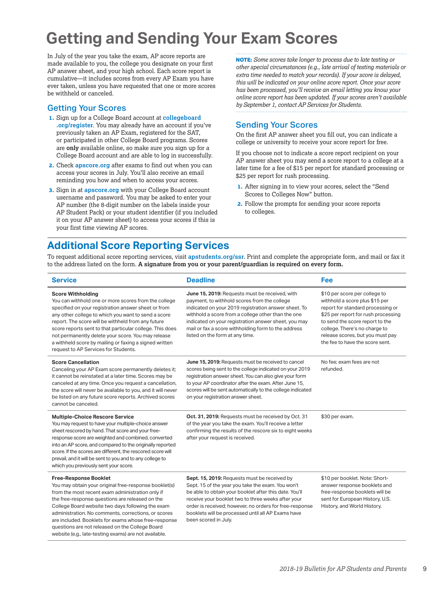# **Getting and Sending Your Exam Scores**

In July of the year you take the exam, AP score reports are made available to you, the college you designate on your first AP answer sheet, and your high school. Each score report is cumulative—it includes scores from every AP Exam you have ever taken, unless you have requested that one or more scores be withheld or canceled.

#### Getting Your Scores

- **1.** Sign up for a College Board account at **[collegeboard](http://www.collegeboard.org/register) [.org/register](http://www.collegeboard.org/register)**. You may already have an account if you've previously taken an AP Exam, registered for the SAT, or participated in other College Board programs. Scores are **only** available online, so make sure you sign up for a College Board account and are able to log in successfully.
- **2.** Check **[apscore.org](http://apscore.org)** after exams to find out when you can access your scores in July. You'll also receive an email reminding you how and when to access your scores.
- **3.** Sign in at **[apscore.org](http://apscore.org)** with your College Board account username and password. You may be asked to enter your AP number (the 8-digit number on the labels inside your AP Student Pack) or your student identifier (if you included it on your AP answer sheet) to access your scores if this is your first time viewing AP scores.

**NOTE:** *Some scores take longer to process due to late testing or other special circumstances (e.g., late arrival of testing materials or extra time needed to match your records). If your score is delayed, this will be indicated on your online score report. Once your score has been processed, you'll receive an email letting you know your online score report has been updated. If your scores aren't available by September 1, contact AP Services for Students.*

#### Sending Your Scores

On the first AP answer sheet you fill out, you can indicate a college or university to receive your score report for free.

If you choose not to indicate a score report recipient on your AP answer sheet you may send a score report to a college at a later time for a fee of \$15 per report for standard processing or \$25 per report for rush processing.

- **1.** After signing in to view your scores, select the "Send Scores to Colleges Now" button.
- **2.** Follow the prompts for sending your score reports to colleges.

### **Additional Score Reporting Services**

To request additional score reporting services, visit **[apstudents.org/ssr](http://apstudents.org/ssr)**. Print and complete the appropriate form, and mail or fax it to the address listed on the form. **A signature from you or your parent/guardian is required on every form.**

| <b>Service</b>                                                                                                                                                                                                                                                                                                                                                                                                                                                               | <b>Deadline</b>                                                                                                                                                                                                                                                                                                                                                | Fee                                                                                                                                                                                                                                                                                    |
|------------------------------------------------------------------------------------------------------------------------------------------------------------------------------------------------------------------------------------------------------------------------------------------------------------------------------------------------------------------------------------------------------------------------------------------------------------------------------|----------------------------------------------------------------------------------------------------------------------------------------------------------------------------------------------------------------------------------------------------------------------------------------------------------------------------------------------------------------|----------------------------------------------------------------------------------------------------------------------------------------------------------------------------------------------------------------------------------------------------------------------------------------|
| <b>Score Withholding</b><br>You can withhold one or more scores from the college<br>specified on your registration answer sheet or from<br>any other college to which you want to send a score<br>report. The score will be withheld from any future<br>score reports sent to that particular college. This does<br>not permanently delete your score. You may release<br>a withheld score by mailing or faxing a signed written<br>request to AP Services for Students.     | June 15, 2019: Requests must be received, with<br>payment, to withhold scores from the college<br>indicated on your 2019 registration answer sheet. To<br>withhold a score from a college other than the one<br>indicated on your registration answer sheet, you may<br>mail or fax a score withholding form to the address<br>listed on the form at any time. | \$10 per score per college to<br>withhold a score plus \$15 per<br>report for standard processing or<br>\$25 per report for rush processing<br>to send the score report to the<br>college. There's no charge to<br>release scores, but you must pay<br>the fee to have the score sent. |
| <b>Score Cancellation</b><br>Canceling your AP Exam score permanently deletes it;<br>it cannot be reinstated at a later time. Scores may be<br>canceled at any time. Once you request a cancellation,<br>the score will never be available to you, and it will never<br>be listed on any future score reports. Archived scores<br>cannot be canceled.                                                                                                                        | June 15, 2019: Requests must be received to cancel<br>scores being sent to the college indicated on your 2019<br>registration answer sheet. You can also give your form<br>to your AP coordinator after the exam. After June 15,<br>scores will be sent automatically to the college indicated<br>on your registration answer sheet.                           | No fee: exam fees are not<br>refunded.                                                                                                                                                                                                                                                 |
| <b>Multiple-Choice Rescore Service</b><br>You may request to have your multiple-choice answer<br>sheet rescored by hand. That score and your free-<br>response score are weighted and combined, converted<br>into an AP score, and compared to the originally reported<br>score. If the scores are different, the rescored score will<br>prevail, and it will be sent to you and to any college to<br>which you previously sent your score.                                  | Oct. 31, 2019: Requests must be received by Oct. 31<br>of the year you take the exam. You'll receive a letter<br>confirming the results of the rescore six to eight weeks<br>after your request is received.                                                                                                                                                   | \$30 per exam.                                                                                                                                                                                                                                                                         |
| <b>Free-Response Booklet</b><br>You may obtain your original free-response booklet(s)<br>from the most recent exam administration only if<br>the free-response questions are released on the<br>College Board website two days following the exam<br>administration. No comments, corrections, or scores<br>are included. Booklets for exams whose free-response<br>questions are not released on the College Board<br>website (e.g., late-testing exams) are not available. | Sept. 15, 2019: Requests must be received by<br>Sept. 15 of the year you take the exam. You won't<br>be able to obtain your booklet after this date. You'll<br>receive your booklet two to three weeks after your<br>order is received; however, no orders for free-response<br>booklets will be processed until all AP Exams have<br>been scored in July.     | \$10 per booklet. Note: Short-<br>answer response booklets and<br>free-response booklets will be<br>sent for European History, U.S.<br>History, and World History.                                                                                                                     |